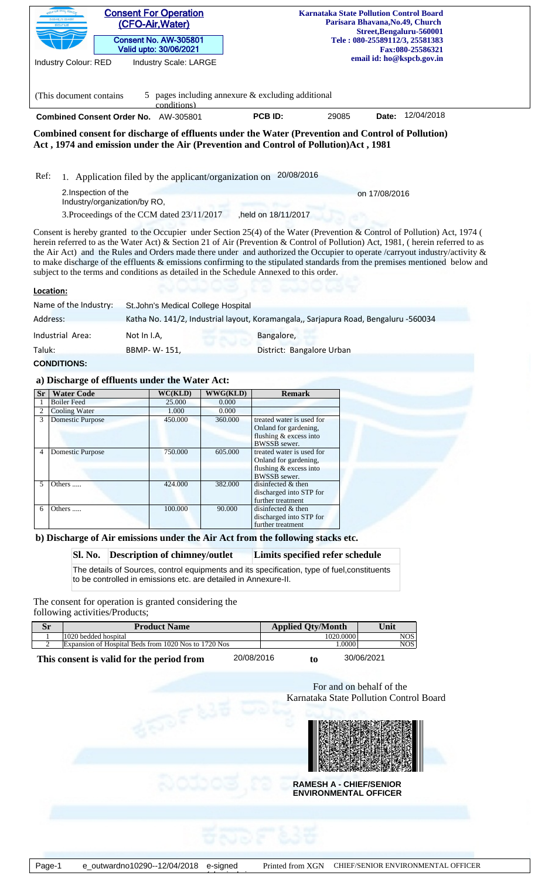|                |                                         | <b>Consent For Operation</b><br>(CFO-Air, Water)<br><b>Consent No. AW-305801</b>                                                                                                                                                                                                                                                                                                                                                                                                          |                          | <b>Karnataka State Pollution Control Board</b><br>Parisara Bhavana, No.49, Church<br>Street, Bengaluru-560001<br>Tele: 080-25589112/3, 25581383 |       |                           |  |
|----------------|-----------------------------------------|-------------------------------------------------------------------------------------------------------------------------------------------------------------------------------------------------------------------------------------------------------------------------------------------------------------------------------------------------------------------------------------------------------------------------------------------------------------------------------------------|--------------------------|-------------------------------------------------------------------------------------------------------------------------------------------------|-------|---------------------------|--|
|                |                                         | Valid upto: 30/06/2021                                                                                                                                                                                                                                                                                                                                                                                                                                                                    |                          |                                                                                                                                                 |       | Fax:080-25586321          |  |
|                | <b>Industry Colour: RED</b>             | Industry Scale: LARGE                                                                                                                                                                                                                                                                                                                                                                                                                                                                     |                          |                                                                                                                                                 |       | email id: ho@kspcb.gov.in |  |
|                |                                         |                                                                                                                                                                                                                                                                                                                                                                                                                                                                                           |                          |                                                                                                                                                 |       |                           |  |
|                | (This document contains)                | 5<br>conditions)                                                                                                                                                                                                                                                                                                                                                                                                                                                                          |                          | pages including annexure & excluding additional                                                                                                 |       |                           |  |
|                |                                         | Combined Consent Order No. AW-305801                                                                                                                                                                                                                                                                                                                                                                                                                                                      |                          | PCB ID:                                                                                                                                         | 29085 | 12/04/2018<br>Date:       |  |
|                |                                         | Combined consent for discharge of effluents under the Water (Prevention and Control of Pollution)<br>Act, 1974 and emission under the Air (Prevention and Control of Pollution)Act, 1981                                                                                                                                                                                                                                                                                                  |                          |                                                                                                                                                 |       |                           |  |
|                |                                         |                                                                                                                                                                                                                                                                                                                                                                                                                                                                                           |                          |                                                                                                                                                 |       |                           |  |
| Ref:           |                                         | 1. Application filed by the applicant/organization on                                                                                                                                                                                                                                                                                                                                                                                                                                     |                          | 20/08/2016                                                                                                                                      |       |                           |  |
|                | 2.Inspection of the                     |                                                                                                                                                                                                                                                                                                                                                                                                                                                                                           |                          |                                                                                                                                                 |       | on 17/08/2016             |  |
|                | Industry/organization/by RO,            | 3. Proceedings of the CCM dated 23/11/2017                                                                                                                                                                                                                                                                                                                                                                                                                                                |                          | ,held on 18/11/2017                                                                                                                             |       |                           |  |
|                |                                         |                                                                                                                                                                                                                                                                                                                                                                                                                                                                                           |                          |                                                                                                                                                 |       |                           |  |
|                |                                         | herein referred to as the Water Act) & Section 21 of Air (Prevention & Control of Pollution) Act, 1981, (herein referred to as<br>the Air Act) and the Rules and Orders made there under and authorized the Occupier to operate /carryout industry/activity $\&$<br>to make discharge of the effluents & emissions confirming to the stipulated standards from the premises mentioned below and<br>subject to the terms and conditions as detailed in the Schedule Annexed to this order. |                          |                                                                                                                                                 |       |                           |  |
| Location:      |                                         |                                                                                                                                                                                                                                                                                                                                                                                                                                                                                           |                          |                                                                                                                                                 |       |                           |  |
|                | Name of the Industry:                   | St.John's Medical College Hospital                                                                                                                                                                                                                                                                                                                                                                                                                                                        |                          |                                                                                                                                                 |       |                           |  |
| Address:       |                                         | Katha No. 141/2, Industrial layout, Koramangala,, Sarjapura Road, Bengaluru -560034                                                                                                                                                                                                                                                                                                                                                                                                       |                          |                                                                                                                                                 |       |                           |  |
|                | Industrial Area:                        | Not In I.A,                                                                                                                                                                                                                                                                                                                                                                                                                                                                               |                          | Bangalore,                                                                                                                                      |       |                           |  |
| Taluk:         |                                         | BBMP-W-151,                                                                                                                                                                                                                                                                                                                                                                                                                                                                               |                          | District: Bangalore Urban                                                                                                                       |       |                           |  |
|                | <b>CONDITIONS:</b>                      |                                                                                                                                                                                                                                                                                                                                                                                                                                                                                           |                          |                                                                                                                                                 |       |                           |  |
|                |                                         |                                                                                                                                                                                                                                                                                                                                                                                                                                                                                           |                          |                                                                                                                                                 |       |                           |  |
|                |                                         |                                                                                                                                                                                                                                                                                                                                                                                                                                                                                           |                          |                                                                                                                                                 |       |                           |  |
|                |                                         | a) Discharge of effluents under the Water Act:                                                                                                                                                                                                                                                                                                                                                                                                                                            |                          |                                                                                                                                                 |       |                           |  |
|                | <b>Water Code</b><br><b>Boiler Feed</b> | WC(KLD)<br>25.000                                                                                                                                                                                                                                                                                                                                                                                                                                                                         | <b>WWG(KLD)</b><br>0.000 | <b>Remark</b>                                                                                                                                   |       |                           |  |
| <b>Sr</b><br>2 | <b>Cooling Water</b>                    | 1.000                                                                                                                                                                                                                                                                                                                                                                                                                                                                                     | 0.000                    |                                                                                                                                                 |       |                           |  |
| 3              | <b>Domestic Purpose</b>                 | 450.000                                                                                                                                                                                                                                                                                                                                                                                                                                                                                   | 360.000                  | treated water is used for                                                                                                                       |       |                           |  |
|                |                                         |                                                                                                                                                                                                                                                                                                                                                                                                                                                                                           |                          | Onland for gardening,                                                                                                                           |       |                           |  |
|                |                                         |                                                                                                                                                                                                                                                                                                                                                                                                                                                                                           |                          | flushing & excess into                                                                                                                          |       |                           |  |
|                | <b>Domestic Purpose</b>                 | 750.000                                                                                                                                                                                                                                                                                                                                                                                                                                                                                   | 605.000                  | BWSSB sewer.<br>treated water is used for                                                                                                       |       |                           |  |
|                |                                         |                                                                                                                                                                                                                                                                                                                                                                                                                                                                                           |                          | Onland for gardening,                                                                                                                           |       |                           |  |
|                |                                         |                                                                                                                                                                                                                                                                                                                                                                                                                                                                                           |                          | flushing & excess into                                                                                                                          |       |                           |  |
|                |                                         |                                                                                                                                                                                                                                                                                                                                                                                                                                                                                           |                          | BWSSB sewer.                                                                                                                                    |       |                           |  |
| 4<br>5         | Others                                  | 424.000                                                                                                                                                                                                                                                                                                                                                                                                                                                                                   | 382.000                  | disinfected & then<br>discharged into STP for                                                                                                   |       |                           |  |
|                |                                         |                                                                                                                                                                                                                                                                                                                                                                                                                                                                                           |                          | further treatment                                                                                                                               |       |                           |  |
| 6              | Others                                  | 100.000                                                                                                                                                                                                                                                                                                                                                                                                                                                                                   | 90.000                   | disinfected & then<br>discharged into STP for                                                                                                   |       |                           |  |
|                |                                         |                                                                                                                                                                                                                                                                                                                                                                                                                                                                                           |                          | further treatment                                                                                                                               |       |                           |  |
|                |                                         | b) Discharge of Air emissions under the Air Act from the following stacks etc.                                                                                                                                                                                                                                                                                                                                                                                                            |                          |                                                                                                                                                 |       |                           |  |
|                | Sl. No.                                 | <b>Description of chimney/outlet</b>                                                                                                                                                                                                                                                                                                                                                                                                                                                      |                          | Limits specified refer schedule                                                                                                                 |       |                           |  |
|                |                                         | The details of Sources, control equipments and its specification, type of fuel, constituents<br>to be controlled in emissions etc. are detailed in Annexure-II.                                                                                                                                                                                                                                                                                                                           |                          |                                                                                                                                                 |       |                           |  |

following activities/Products;

| IJΙ  | <b>Product Name</b>                                  | <b>Applied Qty/Month</b> | Unit             |
|------|------------------------------------------------------|--------------------------|------------------|
|      | 1020 bedded hospital                                 | 1020.0000                | NOS <sup>1</sup> |
|      | Expansion of Hospital Beds from 1020 Nos to 1720 Nos | .0000                    | <b>NOS</b>       |
| ---- | 0.00000000<br>$\cdots$                               |                          | 00/00/0004       |

**This consent is valid for the period from** 20/08/2016 30/06/2021 **to**

> For and on behalf of the Karnataka State Pollution Control Board



**RAMESH A - CHIEF/SENIOR ENVIRONMENTAL OFFICER**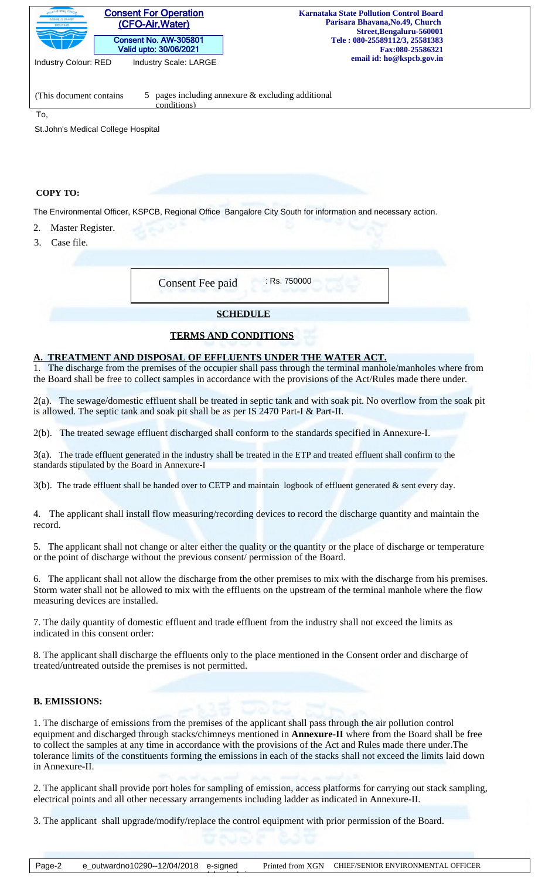| <b>Consent For Operation</b><br>-ಟಕ ರಾಜ್ಯ ಮಾ <sub>ಲ್</sub><br>ನಿಯಂತೃಣ ಮಂಡಳಿ<br>(CFO-Air, Water)<br>ಕರ್ನಾಟಕ<br>Consent No. AW-305801<br>Valid upto: 30/06/2021<br><b>Industry Scale: LARGE</b><br><b>Industry Colour: RED</b> | <b>Karnataka State Pollution Control Board</b><br>Parisara Bhavana, No. 49, Church<br>Street, Bengaluru - 560001<br>Tele: 080-25589112/3, 25581383<br>Fax:080-25586321<br>email id: ho@kspcb.gov.in |
|------------------------------------------------------------------------------------------------------------------------------------------------------------------------------------------------------------------------------|-----------------------------------------------------------------------------------------------------------------------------------------------------------------------------------------------------|
|                                                                                                                                                                                                                              |                                                                                                                                                                                                     |
| (This document contains)<br>conditions)                                                                                                                                                                                      | 5 pages including annexure $&$ excluding additional                                                                                                                                                 |
| To,                                                                                                                                                                                                                          |                                                                                                                                                                                                     |
| St. John's Medical College Hospital                                                                                                                                                                                          |                                                                                                                                                                                                     |

#### **COPY TO:**

The Environmental Officer, KSPCB, Regional Office Bangalore City South for information and necessary action.

- 2. Master Register.
- 3. Case file.

| <b>Consent Fee paid</b> | $:$ Rs. 750000 |
|-------------------------|----------------|
| <b>SCHEDULE</b>         |                |

## **TERMS AND CONDITIONS**

## **A. TREATMENT AND DISPOSAL OF EFFLUENTS UNDER THE WATER ACT.**

1. The discharge from the premises of the occupier shall pass through the terminal manhole/manholes where from the Board shall be free to collect samples in accordance with the provisions of the Act/Rules made there under.

2(a). The sewage/domestic effluent shall be treated in septic tank and with soak pit. No overflow from the soak pit is allowed. The septic tank and soak pit shall be as per IS 2470 Part-I & Part-II.

2(b). The treated sewage effluent discharged shall conform to the standards specified in Annexure-I.

3(a). The trade effluent generated in the industry shall be treated in the ETP and treated effluent shall confirm to the standards stipulated by the Board in Annexure-I

3(b). The trade effluent shall be handed over to CETP and maintain logbook of effluent generated & sent every day.

4. The applicant shall install flow measuring/recording devices to record the discharge quantity and maintain the record.

5. The applicant shall not change or alter either the quality or the quantity or the place of discharge or temperature or the point of discharge without the previous consent/ permission of the Board.

6. The applicant shall not allow the discharge from the other premises to mix with the discharge from his premises. Storm water shall not be allowed to mix with the effluents on the upstream of the terminal manhole where the flow measuring devices are installed.

7. The daily quantity of domestic effluent and trade effluent from the industry shall not exceed the limits as indicated in this consent order:

8. The applicant shall discharge the effluents only to the place mentioned in the Consent order and discharge of treated/untreated outside the premises is not permitted.

#### **B. EMISSIONS:**

1. The discharge of emissions from the premises of the applicant shall pass through the air pollution control equipment and discharged through stacks/chimneys mentioned in **Annexure-II** where from the Board shall be free to collect the samples at any time in accordance with the provisions of the Act and Rules made there under.The tolerance limits of the constituents forming the emissions in each of the stacks shall not exceed the limits laid down in Annexure-II.

2. The applicant shall provide port holes for sampling of emission, access platforms for carrying out stack sampling, electrical points and all other necessary arrangements including ladder as indicated in Annexure-II.

3. The applicant shall upgrade/modify/replace the control equipment with prior permission of the Board.

 $\overbrace{\phantom{a}}$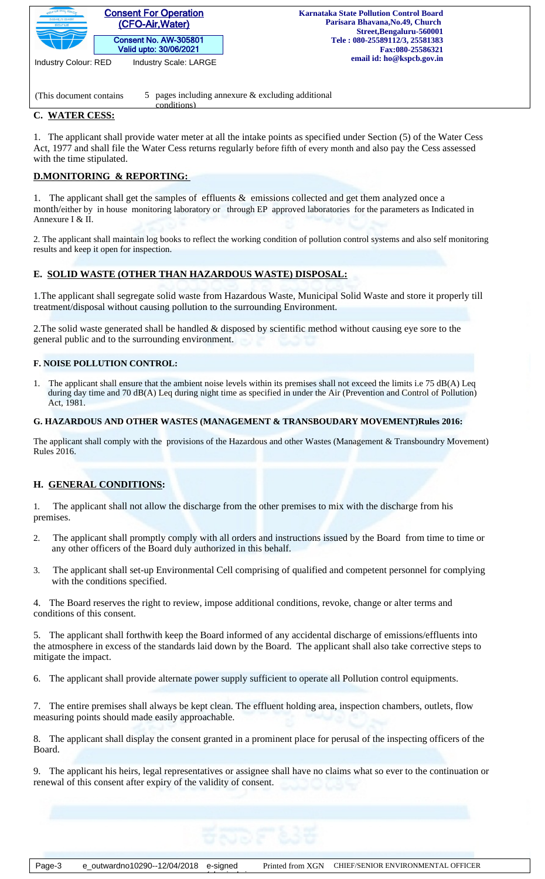

conditions)

(This document contains  $\frac{5}{5}$  pages including annexure & excluding additional

# **C. WATER CESS:**

1. The applicant shall provide water meter at all the intake points as specified under Section (5) of the Water Cess Act, 1977 and shall file the Water Cess returns regularly before fifth of every month and also pay the Cess assessed with the time stipulated.

# **D.MONITORING & REPORTING:**

1. The applicant shall get the samples of effluents & emissions collected and get them analyzed once a month/either by in house monitoring laboratory or through EP approved laboratories for the parameters as Indicated in Annexure I & II.

2. The applicant shall maintain log books to reflect the working condition of pollution control systems and also self monitoring results and keep it open for inspection.

# **E. SOLID WASTE (OTHER THAN HAZARDOUS WASTE) DISPOSAL:**

1.The applicant shall segregate solid waste from Hazardous Waste, Municipal Solid Waste and store it properly till treatment/disposal without causing pollution to the surrounding Environment.

2.The solid waste generated shall be handled & disposed by scientific method without causing eye sore to the general public and to the surrounding environment.

## **F. NOISE POLLUTION CONTROL:**

1. The applicant shall ensure that the ambient noise levels within its premises shall not exceed the limits i.e 75 dB(A) Leq during day time and 70 dB(A) Leq during night time as specified in under the Air (Prevention and Control of Pollution) Act, 1981.

## **G. HAZARDOUS AND OTHER WASTES (MANAGEMENT & TRANSBOUDARY MOVEMENT)Rules 2016:**

The applicant shall comply with the provisions of the Hazardous and other Wastes (Management & Transboundry Movement) Rules 2016.

# **H. GENERAL CONDITIONS:**

1*.* The applicant shall not allow the discharge from the other premises to mix with the discharge from his premises.

- 2. The applicant shall promptly comply with all orders and instructions issued by the Board from time to time or any other officers of the Board duly authorized in this behalf.
- 3. The applicant shall set-up Environmental Cell comprising of qualified and competent personnel for complying with the conditions specified.

4. The Board reserves the right to review, impose additional conditions, revoke, change or alter terms and conditions of this consent.

5. The applicant shall forthwith keep the Board informed of any accidental discharge of emissions/effluents into the atmosphere in excess of the standards laid down by the Board. The applicant shall also take corrective steps to mitigate the impact.

6. The applicant shall provide alternate power supply sufficient to operate all Pollution control equipments.

7. The entire premises shall always be kept clean. The effluent holding area, inspection chambers, outlets, flow measuring points should made easily approachable.

8. The applicant shall display the consent granted in a prominent place for perusal of the inspecting officers of the Board.

9. The applicant his heirs, legal representatives or assignee shall have no claims what so ever to the continuation or renewal of this consent after expiry of the validity of consent.

 $\overbrace{\phantom{a}}$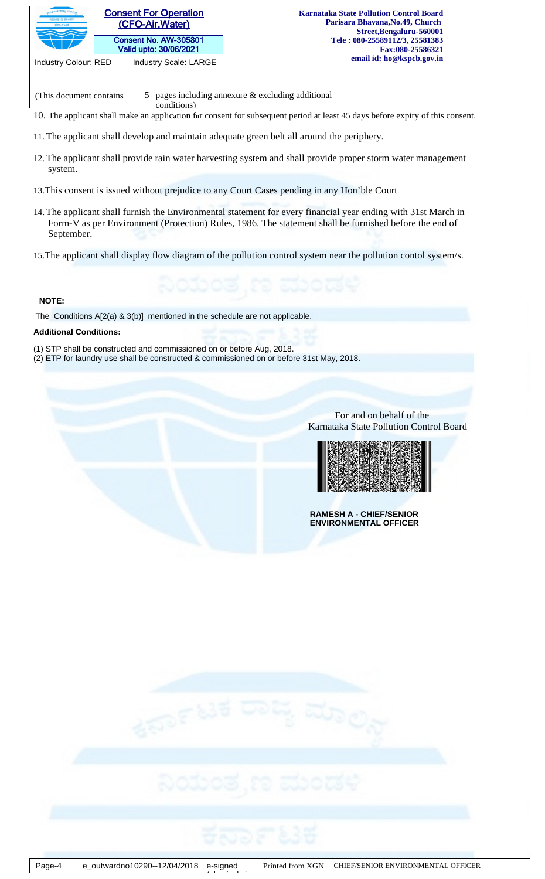

(This document contains  $\qquad 5 \quad$  pages including annexure & excluding additional

10. The applicant shall make an applic**a**tion f**o**r consent for subsequent period at least 45 days before expiry of this consent.

11.The applicant shall develop and maintain adequate green belt all around the periphery.

conditions)

- 12.The applicant shall provide rain water harvesting system and shall provide proper storm water management system.
- 13.This consent is issued without prejudice to any Court Cases pending in any Hon'ble Court
- 14.The applicant shall furnish the Environmental statement for every financial year ending with 31st March in Form-V as per Environment (Protection) Rules, 1986. The statement shall be furnished before the end of September.
- 15.The applicant shall display flow diagram of the pollution control system near the pollution contol system/s.

## **NOTE:**

The Conditions A[2(a) & 3(b)] mentioned in the schedule are not applicable.

## **Additional Conditions:**

(1) STP shall be constructed and commissioned on or before Aug, 2018.

(2) ETP for laundry use shall be constructed & commissioned on or before 31st May, 2018.

 For and on behalf of the Karnataka State Pollution Control Board



**RAMESH A - CHIEF/SENIOR ENVIRONMENTAL OFFICER**